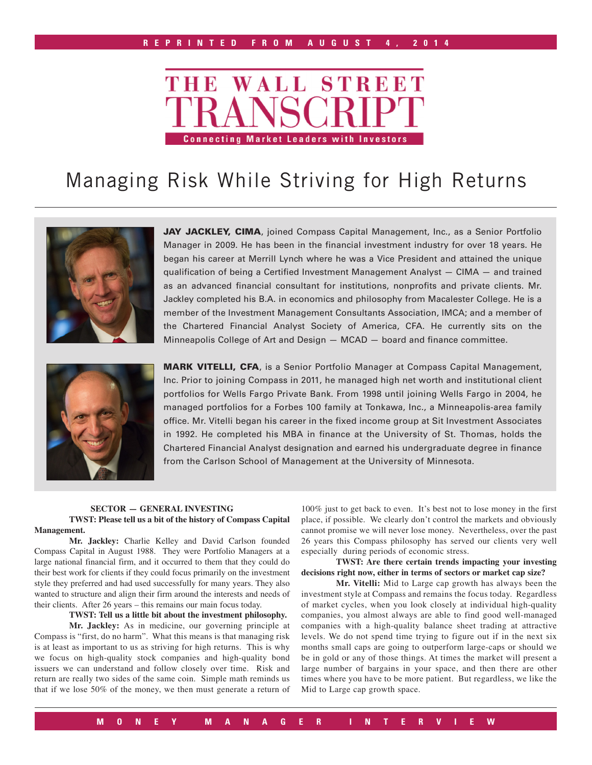

# Managing Risk While Striving for High Returns



JAY JACKLEY, CIMA, joined Compass Capital Management, Inc., as a Senior Portfolio Manager in 2009. He has been in the financial investment industry for over 18 years. He began his career at Merrill Lynch where he was a Vice President and attained the unique qualification of being a Certified Investment Management Analyst — CIMA — and trained as an advanced financial consultant for institutions, nonprofits and private clients. Mr. Jackley completed his B.A. in economics and philosophy from Macalester College. He is a member of the Investment Management Consultants Association, IMCA; and a member of the Chartered Financial Analyst Society of America, CFA. He currently sits on the Minneapolis College of Art and Design — MCAD — board and finance committee.



MARK VITELLI, CFA, is a Senior Portfolio Manager at Compass Capital Management, Inc. Prior to joining Compass in 2011, he managed high net worth and institutional client portfolios for Wells Fargo Private Bank. From 1998 until joining Wells Fargo in 2004, he managed portfolios for a Forbes 100 family at Tonkawa, Inc., a Minneapolis-area family office. Mr. Vitelli began his career in the fixed income group at Sit Investment Associates in 1992. He completed his MBA in finance at the University of St. Thomas, holds the Chartered Financial Analyst designation and earned his undergraduate degree in finance from the Carlson School of Management at the University of Minnesota.

#### **SECTOR — GENERAL INVESTING TWST: Please tell us a bit of the history of Compass Capital Management.**

**Mr. Jackley:** Charlie Kelley and David Carlson founded Compass Capital in August 1988. They were Portfolio Managers at a large national financial firm, and it occurred to them that they could do their best work for clients if they could focus primarily on the investment style they preferred and had used successfully for many years. They also wanted to structure and align their firm around the interests and needs of their clients. After 26 years – this remains our main focus today.

**TWST: Tell us a little bit about the investment philosophy.**

**Mr. Jackley:** As in medicine, our governing principle at Compass is "first, do no harm". What this means is that managing risk is at least as important to us as striving for high returns. This is why we focus on high-quality stock companies and high-quality bond issuers we can understand and follow closely over time. Risk and return are really two sides of the same coin. Simple math reminds us that if we lose 50% of the money, we then must generate a return of

100% just to get back to even. It's best not to lose money in the first place, if possible. We clearly don't control the markets and obviously cannot promise we will never lose money. Nevertheless, over the past 26 years this Compass philosophy has served our clients very well especially during periods of economic stress.

#### **TWST: Are there certain trends impacting your investing decisions right now, either in terms of sectors or market cap size?**

**Mr. Vitelli:** Mid to Large cap growth has always been the investment style at Compass and remains the focus today. Regardless of market cycles, when you look closely at individual high-quality companies, you almost always are able to find good well-managed companies with a high-quality balance sheet trading at attractive levels. We do not spend time trying to figure out if in the next six months small caps are going to outperform large-caps or should we be in gold or any of those things. At times the market will present a large number of bargains in your space, and then there are other times where you have to be more patient. But regardless, we like the Mid to Large cap growth space.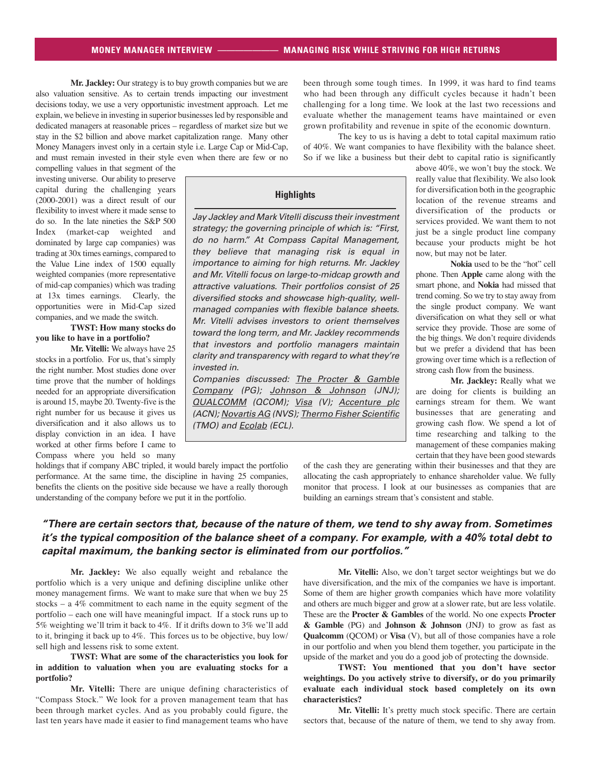**Mr. Jackley:** Our strategy is to buy growth companies but we are also valuation sensitive. As to certain trends impacting our investment decisions today, we use a very opportunistic investment approach. Let me explain, we believe in investing in superior businesses led by responsible and dedicated managers at reasonable prices – regardless of market size but we stay in the \$2 billion and above market capitalization range. Many other Money Managers invest only in a certain style i.e. Large Cap or Mid-Cap, and must remain invested in their style even when there are few or no been through some tough times. In 1999, it was hard to find teams who had been through any difficult cycles because it hadn't been challenging for a long time. We look at the last two recessions and evaluate whether the management teams have maintained or even grown profitability and revenue in spite of the economic downturn.

The key to us is having a debt to total capital maximum ratio of 40%. We want companies to have flexibility with the balance sheet. So if we like a business but their debt to capital ratio is significantly

compelling values in that segment of the investing universe. Our ability to preserve capital during the challenging years (2000-2001) was a direct result of our flexibility to invest where it made sense to do so. In the late nineties the S&P 500 Index (market-cap weighted and dominated by large cap companies) was trading at 30x times earnings, compared to the Value Line index of 1500 equally weighted companies (more representative of mid-cap companies) which was trading at 13x times earnings. Clearly, the opportunities were in Mid-Cap sized companies, and we made the switch.

**TWST: How many stocks do you like to have in a portfolio?** 

**Mr. Vitelli:** We always have 25 stocks in a portfolio. For us, that's simply the right number. Most studies done over time prove that the number of holdings needed for an appropriate diversification is around 15, maybe 20. Twenty-five is the right number for us because it gives us diversification and it also allows us to display conviction in an idea. I have worked at other firms before I came to Compass where you held so many **Highlights**

Jay Jackley and Mark Vitelli discuss their investment strategy; the governing principle of which is: "First, do no harm." At Compass Capital Management, they believe that managing risk is equal in importance to aiming for high returns. Mr. Jackley and Mr. Vitelli focus on large-to-midcap growth and attractive valuations. Their portfolios consist of 25 diversified stocks and showcase high-quality, wellmanaged companies with flexible balance sheets. Mr. Vitelli advises investors to orient themselves toward the long term, and Mr. Jackley recommends that investors and portfolio managers maintain clarity and transparency with regard to what they're invested in.

Companies discussed: The Procter & Gamble Company (PG); Johnson & Johnson (JNJ); QUALCOMM (QCOM); Visa (V); Accenture plc (ACN); Novartis AG (NVS); Thermo Fisher Scientific (TMO) and **Ecolab** (ECL).

above 40%, we won't buy the stock. We really value that flexibility. We also look for diversification both in the geographic location of the revenue streams and diversification of the products or services provided. We want them to not just be a single product line company because your products might be hot now, but may not be later.

**Nokia** used to be the "hot" cell phone. Then **Apple** came along with the smart phone, and **Nokia** had missed that trend coming. So we try to stay away from the single product company. We want diversification on what they sell or what service they provide. Those are some of the big things. We don't require dividends but we prefer a dividend that has been growing over time which is a reflection of strong cash flow from the business.

**Mr. Jackley:** Really what we are doing for clients is building an earnings stream for them. We want businesses that are generating and growing cash flow. We spend a lot of time researching and talking to the management of these companies making certain that they have been good stewards

holdings that if company ABC tripled, it would barely impact the portfolio performance. At the same time, the discipline in having 25 companies, benefits the clients on the positive side because we have a really thorough understanding of the company before we put it in the portfolio.

of the cash they are generating within their businesses and that they are allocating the cash appropriately to enhance shareholder value. We fully monitor that process. I look at our businesses as companies that are building an earnings stream that's consistent and stable.

# *"There are certain sectors that, because of the nature of them, we tend to shy away from. Sometimes it's the typical composition of the balance sheet of a company. For example, with a 40% total debt to capital maximum, the banking sector is eliminated from our portfolios."*

**Mr. Jackley:** We also equally weight and rebalance the portfolio which is a very unique and defining discipline unlike other money management firms. We want to make sure that when we buy 25 stocks – a 4% commitment to each name in the equity segment of the portfolio – each one will have meaningful impact. If a stock runs up to 5% weighting we'll trim it back to 4%. If it drifts down to 3% we'll add to it, bringing it back up to 4%. This forces us to be objective, buy low/ sell high and lessens risk to some extent.

### **TWST: What are some of the characteristics you look for in addition to valuation when you are evaluating stocks for a portfolio?**

**Mr. Vitelli:** There are unique defining characteristics of "Compass Stock." We look for a proven management team that has been through market cycles. And as you probably could figure, the last ten years have made it easier to find management teams who have

**Mr. Vitelli:** Also, we don't target sector weightings but we do have diversification, and the mix of the companies we have is important. Some of them are higher growth companies which have more volatility and others are much bigger and grow at a slower rate, but are less volatile. These are the **Procter & Gambles** of the world. No one expects **Procter & Gamble** (PG) and **Johnson & Johnson** (JNJ) to grow as fast as **Qualcomm** (QCOM) or **Visa** (V), but all of those companies have a role in our portfolio and when you blend them together, you participate in the upside of the market and you do a good job of protecting the downside.

**TWST: You mentioned that you don't have sector weightings. Do you actively strive to diversify, or do you primarily evaluate each individual stock based completely on its own characteristics?** 

**Mr. Vitelli:** It's pretty much stock specific. There are certain sectors that, because of the nature of them, we tend to shy away from.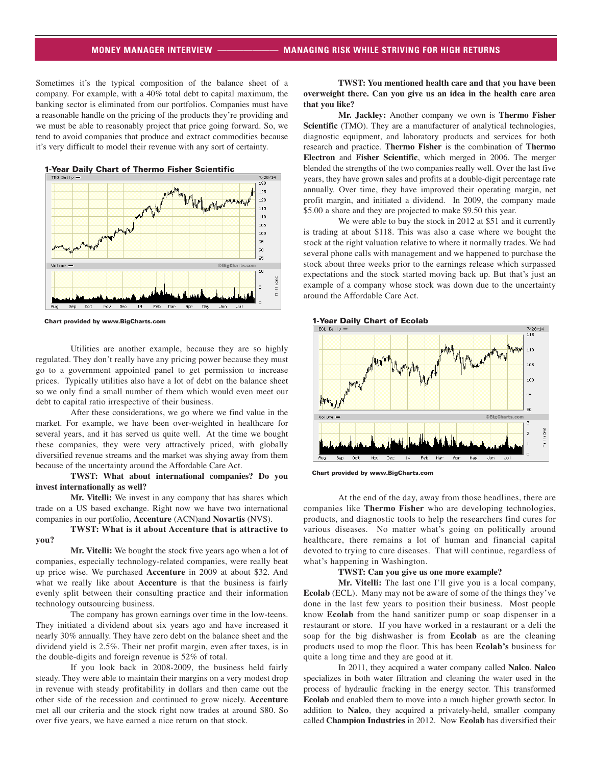Sometimes it's the typical composition of the balance sheet of a company. For example, with a 40% total debt to capital maximum, the banking sector is eliminated from our portfolios. Companies must have a reasonable handle on the pricing of the products they're providing and we must be able to reasonably project that price going forward. So, we tend to avoid companies that produce and extract commodities because it's very difficult to model their revenue with any sort of certainty.



Utilities are another example, because they are so highly regulated. They don't really have any pricing power because they must go to a government appointed panel to get permission to increase prices. Typically utilities also have a lot of debt on the balance sheet so we only find a small number of them which would even meet our debt to capital ratio irrespective of their business.

After these considerations, we go where we find value in the market. For example, we have been over-weighted in healthcare for several years, and it has served us quite well. At the time we bought these companies, they were very attractively priced, with globally diversified revenue streams and the market was shying away from them because of the uncertainty around the Affordable Care Act.

#### **TWST: What about international companies? Do you invest internationally as well?**

**Mr. Vitelli:** We invest in any company that has shares which trade on a US based exchange. Right now we have two international companies in our portfolio, **Accenture** (ACN)and **Novartis** (NVS).

**TWST: What is it about Accenture that is attractive to you?** 

**Mr. Vitelli:** We bought the stock five years ago when a lot of companies, especially technology-related companies, were really beat up price wise. We purchased **Accenture** in 2009 at about \$32. And what we really like about **Accenture** is that the business is fairly evenly split between their consulting practice and their information technology outsourcing business.

The company has grown earnings over time in the low-teens. They initiated a dividend about six years ago and have increased it nearly 30% annually. They have zero debt on the balance sheet and the dividend yield is 2.5%. Their net profit margin, even after taxes, is in the double-digits and foreign revenue is 52% of total.

If you look back in 2008-2009, the business held fairly steady. They were able to maintain their margins on a very modest drop in revenue with steady profitability in dollars and then came out the other side of the recession and continued to grow nicely. **Accenture** met all our criteria and the stock right now trades at around \$80. So over five years, we have earned a nice return on that stock.

**TWST: You mentioned health care and that you have been overweight there. Can you give us an idea in the health care area that you like?**

**Mr. Jackley:** Another company we own is **Thermo Fisher Scientific** (TMO). They are a manufacturer of analytical technologies, diagnostic equipment, and laboratory products and services for both research and practice. **Thermo Fisher** is the combination of **Thermo Electron** and **Fisher Scientific**, which merged in 2006. The merger blended the strengths of the two companies really well. Over the last five years, they have grown sales and profits at a double-digit percentage rate annually. Over time, they have improved their operating margin, net profit margin, and initiated a dividend. In 2009, the company made \$5.00 a share and they are projected to make \$9.50 this year.

We were able to buy the stock in 2012 at \$51 and it currently is trading at about \$118. This was also a case where we bought the stock at the right valuation relative to where it normally trades. We had several phone calls with management and we happened to purchase the stock about three weeks prior to the earnings release which surpassed expectations and the stock started moving back up. But that's just an example of a company whose stock was down due to the uncertainty around the Affordable Care Act.



Chart provided by www.BigCharts.com

At the end of the day, away from those headlines, there are companies like **Thermo Fisher** who are developing technologies, products, and diagnostic tools to help the researchers find cures for various diseases. No matter what's going on politically around healthcare, there remains a lot of human and financial capital devoted to trying to cure diseases. That will continue, regardless of what's happening in Washington.

### **TWST: Can you give us one more example?**

**Mr. Vitelli:** The last one I'll give you is a local company, **Ecolab** (ECL). Many may not be aware of some of the things they've done in the last few years to position their business. Most people know **Ecolab** from the hand sanitizer pump or soap dispenser in a restaurant or store. If you have worked in a restaurant or a deli the soap for the big dishwasher is from **Ecolab** as are the cleaning products used to mop the floor. This has been **Ecolab's** business for quite a long time and they are good at it.

In 2011, they acquired a water company called **Nalco**. **Nalco** specializes in both water filtration and cleaning the water used in the process of hydraulic fracking in the energy sector. This transformed **Ecolab** and enabled them to move into a much higher growth sector. In addition to **Nalco**, they acquired a privately-held, smaller company called **Champion Industries** in 2012. Now **Ecolab** has diversified their